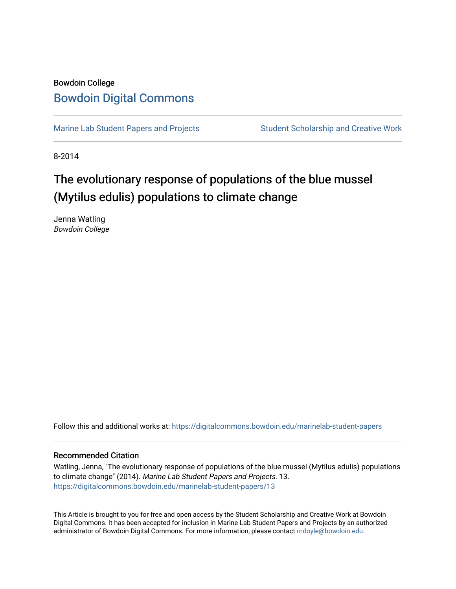## Bowdoin College [Bowdoin Digital Commons](https://digitalcommons.bowdoin.edu/)

[Marine Lab Student Papers and Projects](https://digitalcommons.bowdoin.edu/marinelab-student-papers) Student Scholarship and Creative Work

8-2014

## The evolutionary response of populations of the blue mussel (Mytilus edulis) populations to climate change

Jenna Watling Bowdoin College

Follow this and additional works at: [https://digitalcommons.bowdoin.edu/marinelab-student-papers](https://digitalcommons.bowdoin.edu/marinelab-student-papers?utm_source=digitalcommons.bowdoin.edu%2Fmarinelab-student-papers%2F13&utm_medium=PDF&utm_campaign=PDFCoverPages) 

## Recommended Citation

Watling, Jenna, "The evolutionary response of populations of the blue mussel (Mytilus edulis) populations to climate change" (2014). Marine Lab Student Papers and Projects. 13. [https://digitalcommons.bowdoin.edu/marinelab-student-papers/13](https://digitalcommons.bowdoin.edu/marinelab-student-papers/13?utm_source=digitalcommons.bowdoin.edu%2Fmarinelab-student-papers%2F13&utm_medium=PDF&utm_campaign=PDFCoverPages) 

This Article is brought to you for free and open access by the Student Scholarship and Creative Work at Bowdoin Digital Commons. It has been accepted for inclusion in Marine Lab Student Papers and Projects by an authorized administrator of Bowdoin Digital Commons. For more information, please contact [mdoyle@bowdoin.edu.](mailto:mdoyle@bowdoin.edu)